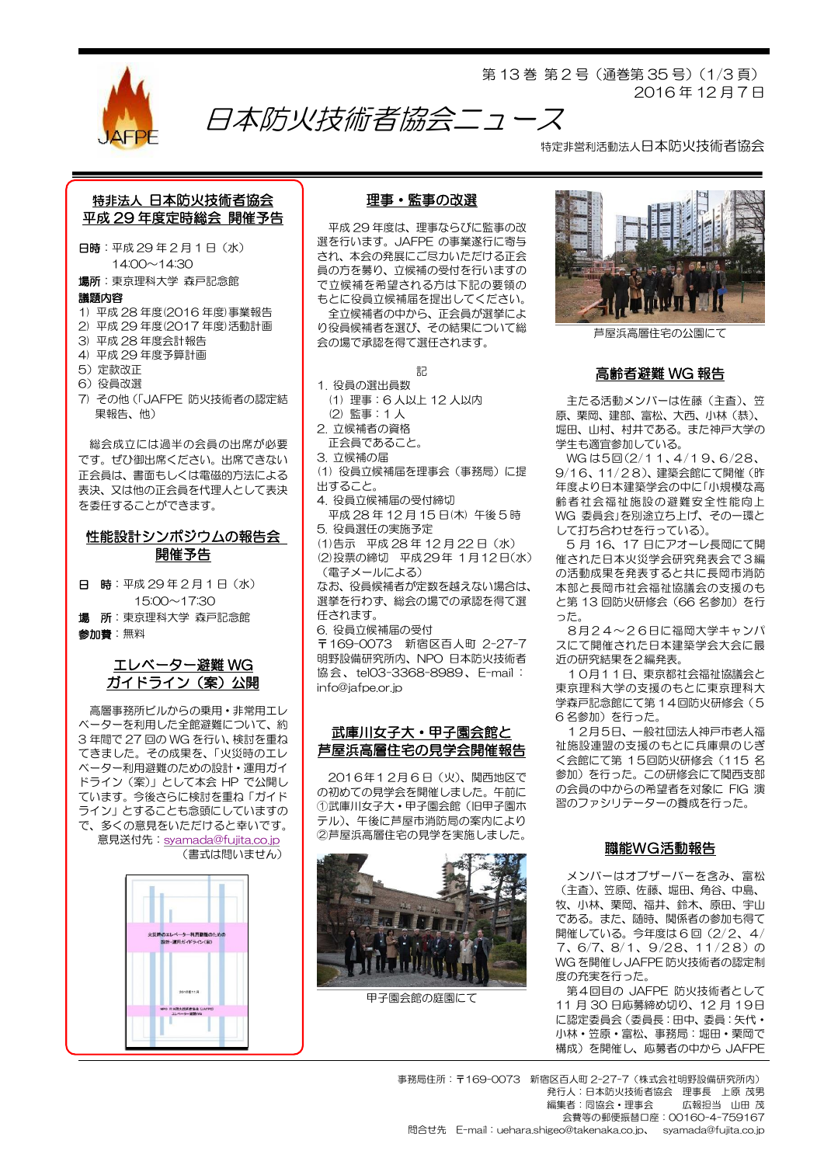

第 13 巻 第 2 号(通巻第 35 号)(1/3 頁) 2016 年 12 月 7 日

特定非営利活動法人日本防火技術者協会

## 特非法人 日本防火技術者協会 平成 29 年度定時総会 開催予告

日時:平成 29 年 2 月 1 日(水) 14:00~14:30

場所:東京理科大学 森戸記念館

#### 議題内容

- 1) 平成 28 年度(2016 年度)事業報告
- 2) 平成 29 年度(2017 年度)活動計画
- 3) 平成 28 年度会計報告
- 4) 平成 29 年度予算計画
- 5)定款改正
- 6)役員改選
- 7) その他(「JAFPE 防火技術者の認定結 果報告、他)

総会成立には過半の会員の出席が必要 です。ぜひ御出席ください。出席できない 正会員は、書面もしくは電磁的方法による 表決、又は他の正会員を代理人として表決 を委任することができます。

## 性能設計シンポジウムの報告会 開催予告

日 時:平成 29 年 2 月 1 日(水) 15:00~17:30 場 所:東京理科大学 森戸記念館 参加費:無料

## エレベーター避難 WG ガイドライン(案)公開

高層事務所ビルからの乗用・非常用エレ ベーターを利用した全館避難について、約 3 年間で 27 回の WG を行い、検討を重ね てきました。その成果を、「火災時のエレ ベーター利用避難のための設計・運用ガイ ドライン(案)」として本会 HP で公開し ています。今後さらに検討を重ね「ガイド ライン」とすることも念頭にしていますの で、多くの意見をいただけると幸いです。 意見送付先: [syamada@fujita.co.jp](mailto:syamada@fujita.co.jp) (書式は問いません)



## 理事・監事の改選

日本防火技術者協会ニュース

平成 29 年度は、理事ならびに監事の改 選を行います。JAFPE の事業遂行に寄与 され、本会の発展にご尽力いただける正会 員の方を募り、立候補の受付を行いますの で立候補を希望される方は下記の要領の もとに役員立候補届を提出してください。 全立候補者の中から、正会員が選挙によ り役員候補者を選び、その結果について総

会の場で承認を得て選任されます。

記

- 1. 役員の選出員数
- (1) 理事:6 人以上 12 人以内 (2) 監事:1 人
- 2. 立候補者の資格
- 正会員であること。

3. 立候補の届

(1) 役員立候補届を理事会(事務局)に提 出すること。

- 
- 4. 役員立候補届の受付締切 平成 28 年 12 月 15 日(木) 午後 5 時

5. 役員選任の実施予定

(1)告示 平成 28 年 12 月 22 日(水) (2)投票の締切 平成29年 1月12日(水) (電子メールによる)

なお、役員候補者が定数を越えない場合は、 選挙を行わず、総会の場での承認を得て選 任されます。

6. 役員立候補届の受付

〒169-0073 新宿区百人町 2-27-7 明野設備研究所内、NPO 日本防火技術者 協 会 、 tel03-3368-8989 、 E-mail : info@jafpe.or.jp

### 武庫川女子大・甲子園会館と 芦屋浜高層住宅の見学会開催報告

2016年12月 6 日(火)、関西地区で の初めての見学会を開催しました。午前に ①武庫川女子大・甲子園会館(旧甲子園ホ テル)、午後に芦屋市消防局の案内により ②芦屋浜高層住宅の見学を実施しました。



甲子園会館の庭園にて



芦屋浜高層住宅の公園にて

#### 高齢者避難 WG 報告

主たる活動メンバーは佐藤(主査)、笠 原、栗岡、建部、富松、大西、小林(恭)、 堀田、山村、村井である。また神戸大学の 学生も適宜参加している。

WG は5回(2/11、4/19、6/28、 9/16、11/28)、建築会館にて開催(昨 年度より日本建築学会の中に「小規模な高 齢者社会福祉施設の避難安全性能向上 WG 委員会」を別途立ち上げ、その一環と して打ち合わせを行っている)。

5 月 16、17 日にアオーレ長岡にて開 催された日本火災学会研究発表会で3編 の活動成果を発表すると共に長岡市消防 本部と長岡市社会福祉協議会の支援のも と第13回防火研修会 (66 名参加)を行 った。

8月24~26日に福岡大学キャンパ スにて開催された日本建築学会大会に最 近の研究結果を2編発表。

10月11日、東京都社会福祉協議会と 東京理科大学の支援のもとに東京理科大 学森戸記念館にて第 14回防火研修会(5 6名参加)を行った。

12月5日、一般社団法人神戸市老人福 祉施設連盟の支援のもとに兵庫県のじぎ く会館にて第 15回防火研修会(115 名 参加)を行った。この研修会にて関西支部 の会員の中からの希望者を対象に FIG 演 習のファシリテーターの養成を行った。

## 職能WG活動報告

メンバーはオブザーバーを含み、富松 (主査)、笠原、佐藤、堀田、角谷、中島、 牧、小林、栗岡、福井、鈴木、原田、宇山 である。また、随時、関係者の参加も得て 開催している。今年度は 6 回(2/2、4/ 7、6/7、8/1、9/28、11/28)の WG を開催し JAFPE 防火技術者の認定制 度の充実を行った。

第4回目の JAFPE 防火技術者として 11 月 30 日応募締め切り、12 月 19日 に認定委員会(委員長:田中、委員:矢代・ 小林・笠原・富松、事務局:堀田・栗岡で 構成)を開催し、応募者の中から JAFPE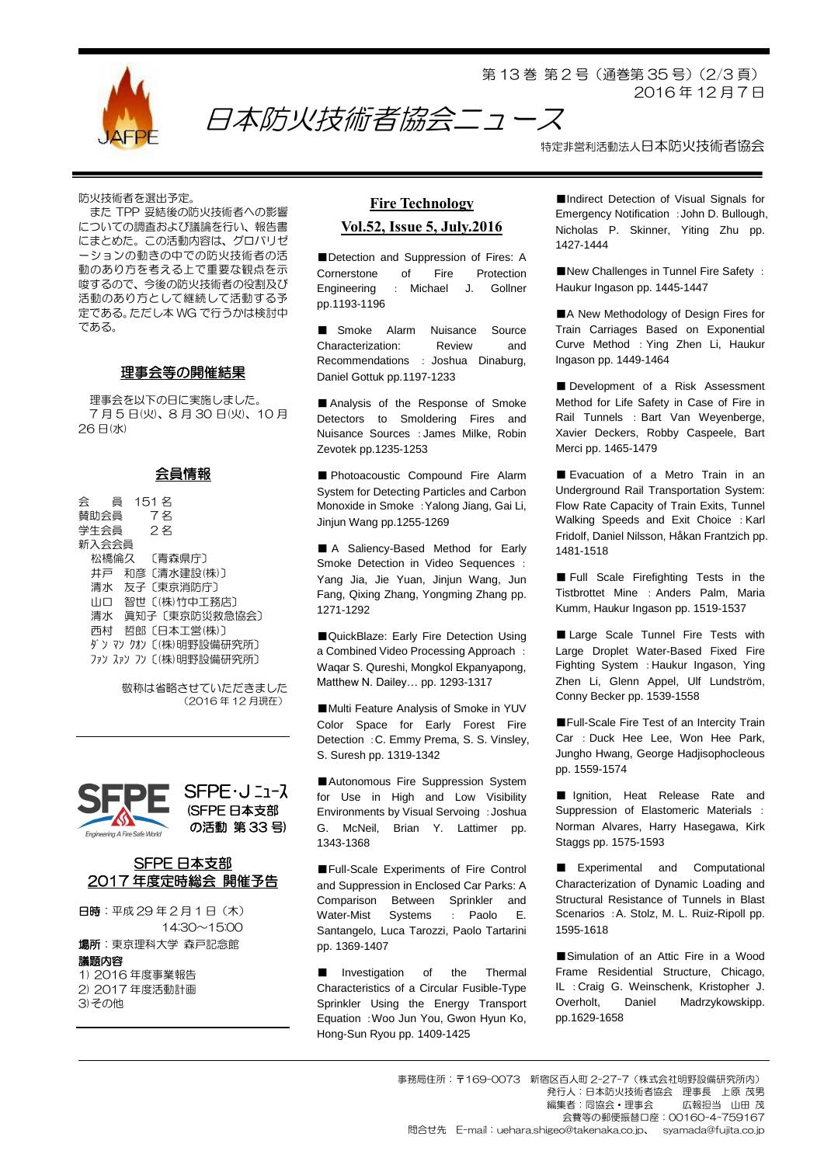

第 13 巻 第 2 号(通巻第 35 号)(2/3 頁) 2016 年 12 月 7 日

特定非営利活動法人日本防火技術者協会

防火技術者を選出予定。

また TPP 妥結後の防火技術者への影響 についての調査および議論を行い、報告書 にまとめた。この活動内容は、グロバリゼ ーションの動きの中での防火技術者の活 動のあり方を考える上で重要な観点を示 唆するので、今後の防火技術者の役割及び 活動のあり方として継続して活動する予 定である。ただし本 WG で行うかは検討中 である。

### 理事会等の開催結果

理事会を以下の日に実施しました。 7 月 5 日(火)、8 月 30 日(火)、10 月 26 日(水)

#### 会員情報

会 員 151 名 賛助会員 7 名 学生会員 2 名 新入会会員 松橋倫久 〔青森県庁〕 井戸 和彦〔清水建設(株)〕 清水 友子〔東京消防庁〕 山口 智世〔(株)竹中工務店〕 清水 眞知子〔東京防災救急協会〕 西村 哲郎〔日本工営(株)〕 ダン マン クオン〔(株)明野設備研究所〕 ファン スァン フン〔(株)明野設備研究所〕

> 敬称は省略させていただきました (2016 年 12 月現在)





日時: 平成 29年2月1日 (木) 14:30~15:00

場所:東京理科大学 森戸記念館

議題内容

1) 2016 年度事業報告 2) 2017 年度活動計画 3)その他

# **Fire Technology Vol.52, Issue 5, July.2016**

日本防火技術者協会ニュース

■Detection and Suppression of Fires: A Cornerstone of Fire Protection Engineering : Michael J. Gollner pp.1193-1196

■ Smoke Alarm Nuisance Source Characterization: Review and Recommendations : Joshua Dinaburg, Daniel Gottuk pp.1197-1233

■ Analysis of the Response of Smoke Detectors to Smoldering Fires and Nuisance Sources :James Milke, Robin Zevotek pp.1235-1253

■ Photoacoustic Compound Fire Alarm System for Detecting Particles and Carbon Monoxide in Smoke :Yalong Jiang, Gai Li, Jinjun Wang pp.1255-1269

■ A Saliency-Based Method for Early Smoke Detection in Video Sequences : Yang Jia, Jie Yuan, Jinjun Wang, Jun Fang, Qixing Zhang, Yongming Zhang pp. 1271-1292

■QuickBlaze: Early Fire Detection Using a Combined Video Processing Approach : Waqar S. Qureshi, Mongkol Ekpanyapong, Matthew N. Dailey… pp. 1293-1317

■Multi Feature Analysis of Smoke in YUV Color Space for Early Forest Fire Detection :C. Emmy Prema, S. S. Vinsley, S. Suresh pp. 1319-1342

■Autonomous Fire Suppression System for Use in High and Low Visibility Environments by Visual Servoing :Joshua G. McNeil, Brian Y. Lattimer pp. 1343-1368

■Full-Scale Experiments of Fire Control and Suppression in Enclosed Car Parks: A Comparison Between Sprinkler and Water-Mist Systems : Paolo E. Santangelo, Luca Tarozzi, Paolo Tartarini pp. 1369-1407

■ Investigation of the Thermal Characteristics of a Circular Fusible-Type Sprinkler Using the Energy Transport Equation :Woo Jun You, Gwon Hyun Ko, Hong-Sun Ryou pp. 1409-1425

■Indirect Detection of Visual Signals for Emergency Notification :John D. Bullough, Nicholas P. Skinner, Yiting Zhu pp. 1427-1444

■New Challenges in Tunnel Fire Safety : Haukur Ingason pp. 1445-1447

■A New Methodology of Design Fires for Train Carriages Based on Exponential Curve Method : Ying Zhen Li, Haukur Ingason pp. 1449-1464

■ Development of a Risk Assessment Method for Life Safety in Case of Fire in Rail Tunnels : Bart Van Weyenberge, Xavier Deckers, Robby Caspeele, Bart Merci pp. 1465-1479

■ Evacuation of a Metro Train in an Underground Rail Transportation System: Flow Rate Capacity of Train Exits, Tunnel Walking Speeds and Exit Choice : Karl Fridolf, Daniel Nilsson, Håkan Frantzich pp. 1481-1518

■ Full Scale Firefighting Tests in the Tistbrottet Mine : Anders Palm, Maria Kumm, Haukur Ingason pp. 1519-1537

■ Large Scale Tunnel Fire Tests with Large Droplet Water-Based Fixed Fire Fighting System :Haukur Ingason, Ying Zhen Li, Glenn Appel, Ulf Lundström, Conny Becker pp. 1539-1558

■Full-Scale Fire Test of an Intercity Train Car : Duck Hee Lee, Won Hee Park, Jungho Hwang, George Hadjisophocleous pp. 1559-1574

■ Ignition, Heat Release Rate and Suppression of Elastomeric Materials : Norman Alvares, Harry Hasegawa, Kirk Staggs pp. 1575-1593

■ Experimental and Computational Characterization of Dynamic Loading and Structural Resistance of Tunnels in Blast Scenarios :A. Stolz, M. L. Ruiz-Ripoll pp. 1595-1618

■Simulation of an Attic Fire in a Wood Frame Residential Structure, Chicago, IL :Craig G. Weinschenk, Kristopher J. Overholt, Daniel Madrzykowskipp. pp.1629-1658